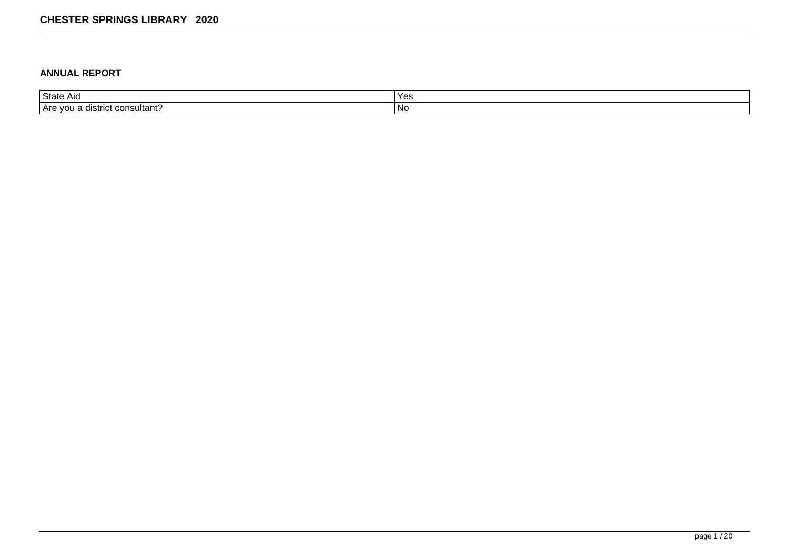### **ANNUAL REPORT**

| <b>State</b>                          | $\mathbf{v}$ |
|---------------------------------------|--------------|
| AIO                                   | ט ש          |
| . consultant?<br>TAre you<br>listrict | טצוו         |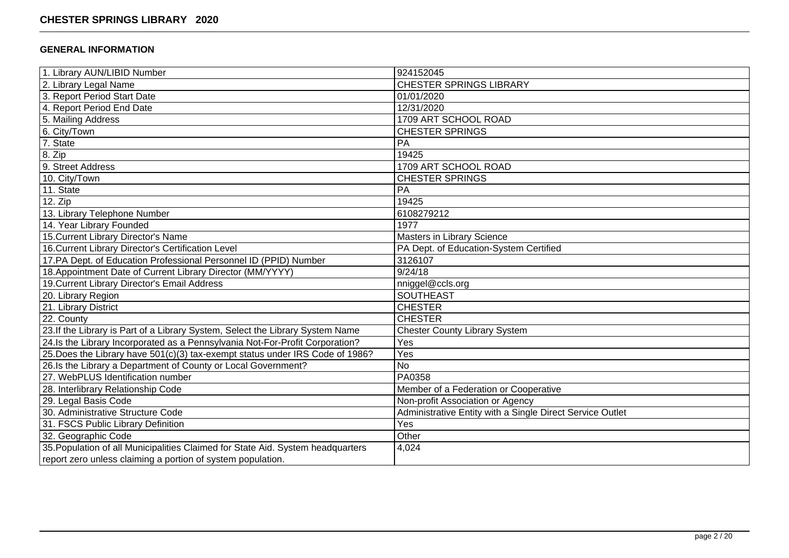## **GENERAL INFORMATION**

| 1. Library AUN/LIBID Number                                                     | 924152045                                                 |
|---------------------------------------------------------------------------------|-----------------------------------------------------------|
| 2. Library Legal Name                                                           | <b>CHESTER SPRINGS LIBRARY</b>                            |
| 3. Report Period Start Date                                                     | 01/01/2020                                                |
| 4. Report Period End Date                                                       | 12/31/2020                                                |
| 5. Mailing Address                                                              | 1709 ART SCHOOL ROAD                                      |
| 6. City/Town                                                                    | <b>CHESTER SPRINGS</b>                                    |
| 7. State                                                                        | PA                                                        |
| 8. Zip                                                                          | 19425                                                     |
| 9. Street Address                                                               | 1709 ART SCHOOL ROAD                                      |
| 10. City/Town                                                                   | <b>CHESTER SPRINGS</b>                                    |
| 11. State                                                                       | PA                                                        |
| 12. Zip                                                                         | 19425                                                     |
| 13. Library Telephone Number                                                    | 6108279212                                                |
| 14. Year Library Founded                                                        | 1977                                                      |
| 15. Current Library Director's Name                                             | Masters in Library Science                                |
| 16. Current Library Director's Certification Level                              | PA Dept. of Education-System Certified                    |
| 17.PA Dept. of Education Professional Personnel ID (PPID) Number                | 3126107                                                   |
| 18. Appointment Date of Current Library Director (MM/YYYY)                      | 9/24/18                                                   |
| 19. Current Library Director's Email Address                                    | nniggel@ccls.org                                          |
| 20. Library Region                                                              | <b>SOUTHEAST</b>                                          |
| 21. Library District                                                            | <b>CHESTER</b>                                            |
| 22. County                                                                      | <b>CHESTER</b>                                            |
| 23. If the Library is Part of a Library System, Select the Library System Name  | <b>Chester County Library System</b>                      |
| 24. Is the Library Incorporated as a Pennsylvania Not-For-Profit Corporation?   | Yes                                                       |
| 25. Does the Library have 501(c)(3) tax-exempt status under IRS Code of 1986?   | Yes                                                       |
| 26.Is the Library a Department of County or Local Government?                   | <b>No</b>                                                 |
| 27. WebPLUS Identification number                                               | PA0358                                                    |
| 28. Interlibrary Relationship Code                                              | Member of a Federation or Cooperative                     |
| 29. Legal Basis Code                                                            | Non-profit Association or Agency                          |
| 30. Administrative Structure Code                                               | Administrative Entity with a Single Direct Service Outlet |
| 31. FSCS Public Library Definition                                              | Yes                                                       |
| 32. Geographic Code                                                             | Other                                                     |
| 35. Population of all Municipalities Claimed for State Aid. System headquarters | 4,024                                                     |
| report zero unless claiming a portion of system population.                     |                                                           |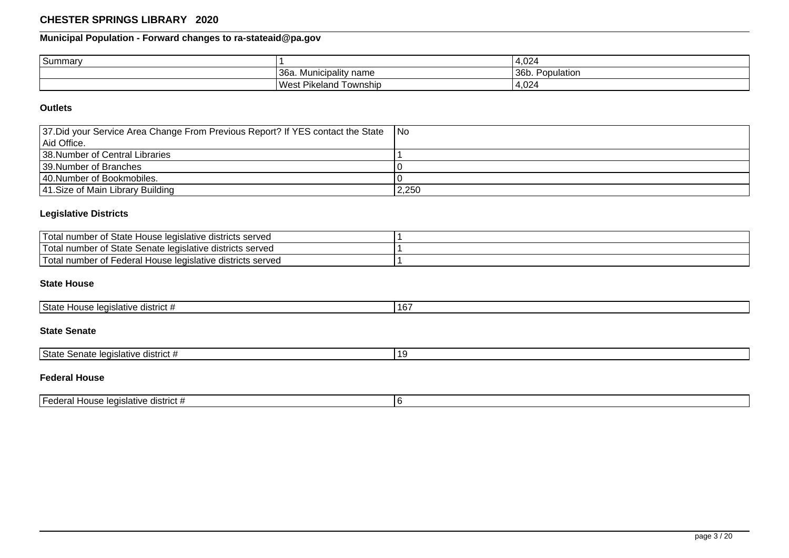# **Municipal Population - Forward changes to ra-stateaid@pa.gov**

| Summary |                                   | 4,024                                          |
|---------|-----------------------------------|------------------------------------------------|
|         | '36a.<br>' name<br>. Municipality | 36b.<br>$\overline{\phantom{0}}$<br>Population |
|         | <b>West Pikeland</b><br>Township  | 4,024                                          |

### **Outlets**

| 37. Did your Service Area Change From Previous Report? If YES contact the State | I No  |
|---------------------------------------------------------------------------------|-------|
| l Aid Office.                                                                   |       |
| 138. Number of Central Libraries                                                |       |
| 139. Number of Branches                                                         |       |
| 140. Number of Bookmobiles.                                                     |       |
| 41. Size of Main Library Building                                               | 2,250 |

### **Legislative Districts**

| 'Total<br>I number of State House legislative districts served        |  |
|-----------------------------------------------------------------------|--|
| 'T∩tal<br>I number of State Senate legislative districts served.      |  |
| 'T∩tal<br>' Federal House legislative districts served<br>I number of |  |

## **State House**

| State<br>¶ listrict #<br>House legislative | $\sim$<br>16 |
|--------------------------------------------|--------------|
|--------------------------------------------|--------------|

## **State Senate**

| 'State<br>egislative<br>` aistrict<br>enate<br>ווסט | 1 G |
|-----------------------------------------------------|-----|

## **Federal House**

| . .<br>House legislative district #<br>TFederai<br>$\sim$ |  |
|-----------------------------------------------------------|--|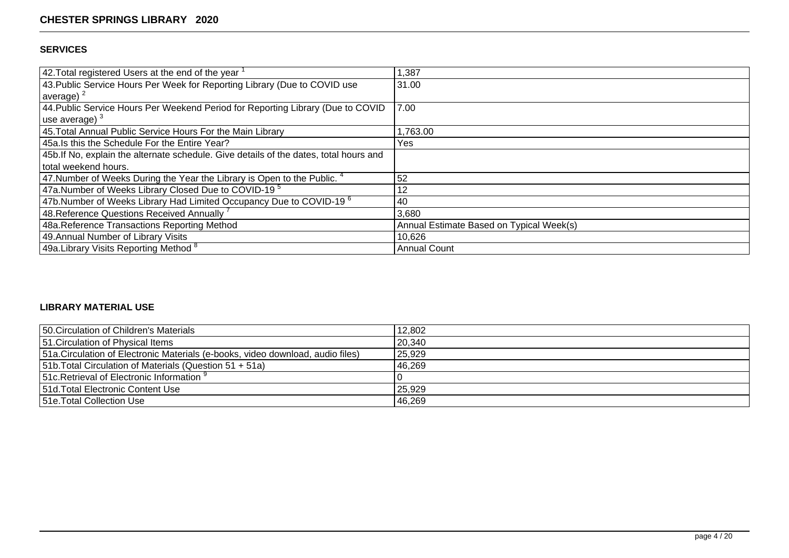## **SERVICES**

| 42. Total registered Users at the end of the year $\overline{a}$                       | 1,387                                    |
|----------------------------------------------------------------------------------------|------------------------------------------|
| 43. Public Service Hours Per Week for Reporting Library (Due to COVID use              | 31.00                                    |
| average) $^2$                                                                          |                                          |
| 44. Public Service Hours Per Weekend Period for Reporting Library (Due to COVID        | 7.00                                     |
| use average) $3$                                                                       |                                          |
| 45. Total Annual Public Service Hours For the Main Library                             | .763.00                                  |
| 45a.Is this the Schedule For the Entire Year?                                          | Yes                                      |
| 45b. If No, explain the alternate schedule. Give details of the dates, total hours and |                                          |
| total weekend hours.                                                                   |                                          |
| 47. Number of Weeks During the Year the Library is Open to the Public. $4$             | 52                                       |
| 47a.Number of Weeks Library Closed Due to COVID-19 <sup>5</sup>                        | 12                                       |
| 47b.Number of Weeks Library Had Limited Occupancy Due to COVID-19 $^6$                 | 40                                       |
| 48. Reference Questions Received Annually 7                                            | 3,680                                    |
| 48a.Reference Transactions Reporting Method                                            | Annual Estimate Based on Typical Week(s) |
| 49. Annual Number of Library Visits                                                    | 10,626                                   |
| 49a. Library Visits Reporting Method 8                                                 | <b>Annual Count</b>                      |

## **LIBRARY MATERIAL USE**

| 50. Circulation of Children's Materials                                         | 12,802 |
|---------------------------------------------------------------------------------|--------|
| 151. Circulation of Physical Items                                              | 20,340 |
| 51a. Circulation of Electronic Materials (e-books, video download, audio files) | 25,929 |
| [51b. Total Circulation of Materials (Question 51 + 51a)                        | 46,269 |
| 151c. Retrieval of Electronic Information $\frac{9}{2}$                         |        |
| 151d. Total Electronic Content Use                                              | 25,929 |
| 151e. Total Collection Use                                                      | 46,269 |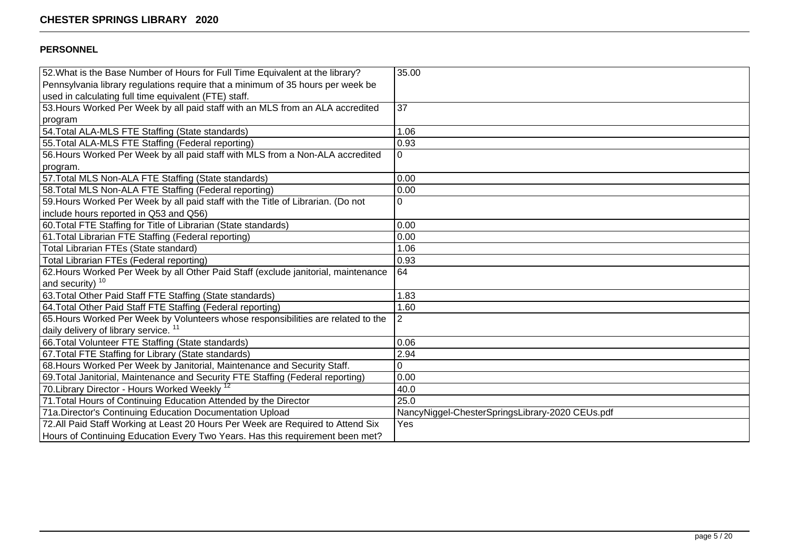## **PERSONNEL**

| 52. What is the Base Number of Hours for Full Time Equivalent at the library?      | 35.00                                           |
|------------------------------------------------------------------------------------|-------------------------------------------------|
| Pennsylvania library regulations require that a minimum of 35 hours per week be    |                                                 |
| used in calculating full time equivalent (FTE) staff.                              |                                                 |
| 53. Hours Worked Per Week by all paid staff with an MLS from an ALA accredited     | 37                                              |
| program                                                                            |                                                 |
| 54. Total ALA-MLS FTE Staffing (State standards)                                   | 1.06                                            |
| 55. Total ALA-MLS FTE Staffing (Federal reporting)                                 | 0.93                                            |
| 56. Hours Worked Per Week by all paid staff with MLS from a Non-ALA accredited     | 0                                               |
| program.                                                                           |                                                 |
| 57. Total MLS Non-ALA FTE Staffing (State standards)                               | 0.00                                            |
| 58. Total MLS Non-ALA FTE Staffing (Federal reporting)                             | 0.00                                            |
| 59. Hours Worked Per Week by all paid staff with the Title of Librarian. (Do not   | $\Omega$                                        |
| include hours reported in Q53 and Q56)                                             |                                                 |
| 60. Total FTE Staffing for Title of Librarian (State standards)                    | 0.00                                            |
| 61. Total Librarian FTE Staffing (Federal reporting)                               | 0.00                                            |
| Total Librarian FTEs (State standard)                                              | 1.06                                            |
| <b>Total Librarian FTEs (Federal reporting)</b>                                    | 0.93                                            |
| 62. Hours Worked Per Week by all Other Paid Staff (exclude janitorial, maintenance | 64                                              |
| and security) <sup>10</sup>                                                        |                                                 |
| 63. Total Other Paid Staff FTE Staffing (State standards)                          | 1.83                                            |
| 64. Total Other Paid Staff FTE Staffing (Federal reporting)                        | 1.60                                            |
| 65. Hours Worked Per Week by Volunteers whose responsibilities are related to the  | $\overline{2}$                                  |
| daily delivery of library service. <sup>11</sup>                                   |                                                 |
| 66. Total Volunteer FTE Staffing (State standards)                                 | 0.06                                            |
| 67. Total FTE Staffing for Library (State standards)                               | 2.94                                            |
| 68. Hours Worked Per Week by Janitorial, Maintenance and Security Staff.           | $\pmb{0}$                                       |
| 69. Total Janitorial, Maintenance and Security FTE Staffing (Federal reporting)    | 0.00                                            |
| 70. Library Director - Hours Worked Weekly <sup>12</sup>                           | 40.0                                            |
| 71. Total Hours of Continuing Education Attended by the Director                   | 25.0                                            |
| 71a. Director's Continuing Education Documentation Upload                          | NancyNiggel-ChesterSpringsLibrary-2020 CEUs.pdf |
| 72. All Paid Staff Working at Least 20 Hours Per Week are Required to Attend Six   | Yes                                             |
| Hours of Continuing Education Every Two Years. Has this requirement been met?      |                                                 |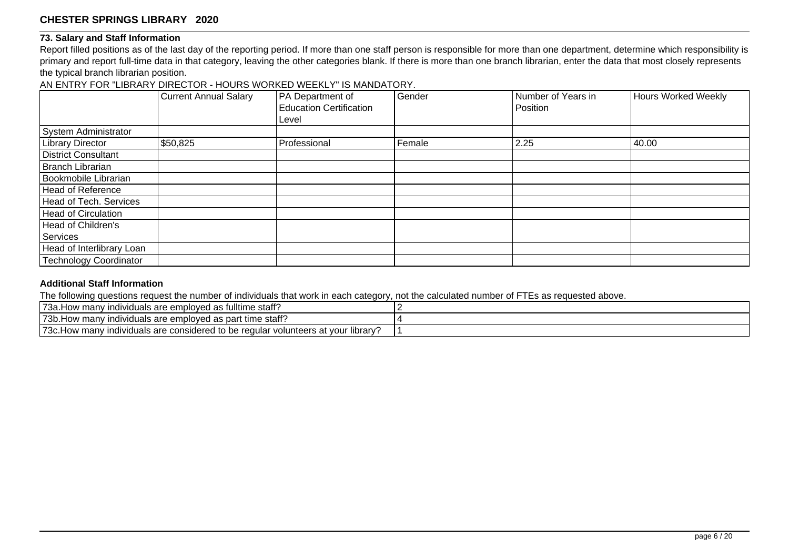### **73. Salary and Staff Information**

Report filled positions as of the last day of the reporting period. If more than one staff person is responsible for more than one department, determine which responsibility is primary and report full-time data in that category, leaving the other categories blank. If there is more than one branch librarian, enter the data that most closely represents the typical branch librarian position.

AN ENTRY FOR "LIBRARY DIRECTOR - HOURS WORKED WEEKLY" IS MANDATORY.

|                               | <b>Current Annual Salary</b> | PA Department of<br><b>Education Certification</b> | Gender | Number of Years in<br>Position | Hours Worked Weekly |
|-------------------------------|------------------------------|----------------------------------------------------|--------|--------------------------------|---------------------|
|                               |                              | Level                                              |        |                                |                     |
| System Administrator          |                              |                                                    |        |                                |                     |
| <b>Library Director</b>       | \$50,825                     | Professional                                       | Female | 2.25                           | 40.00               |
| <b>District Consultant</b>    |                              |                                                    |        |                                |                     |
| Branch Librarian              |                              |                                                    |        |                                |                     |
| Bookmobile Librarian          |                              |                                                    |        |                                |                     |
| Head of Reference             |                              |                                                    |        |                                |                     |
| Head of Tech. Services        |                              |                                                    |        |                                |                     |
| Head of Circulation           |                              |                                                    |        |                                |                     |
| Head of Children's            |                              |                                                    |        |                                |                     |
| Services                      |                              |                                                    |        |                                |                     |
| Head of Interlibrary Loan     |                              |                                                    |        |                                |                     |
| <b>Technology Coordinator</b> |                              |                                                    |        |                                |                     |

## **Additional Staff Information**

The following questions request the number of individuals that work in each category, not the calculated number of FTEs as requested above.

| s fulltime staff?<br>` <sup>73а</sup><br>™ndiv…<br>. Iow many<br>viduals are emploved<br>nlnver<br>- 20<br>ి! రెప                                                                            |  |
|----------------------------------------------------------------------------------------------------------------------------------------------------------------------------------------------|--|
| individuals are employed as part time staff?<br>'73b.<br>How manv                                                                                                                            |  |
| '73c<br>ند مصل<br>considered to :<br>vour library<br>volunteers at p<br>$r \cap \Omega$<br>$\ldots$<br>⊦be<br>viduals are<br><sup>,</sup> manv<br>⊣⌒៶៱<br>⊓∪w<br>Tegular<br>י וטו י<br>้ ม.เ |  |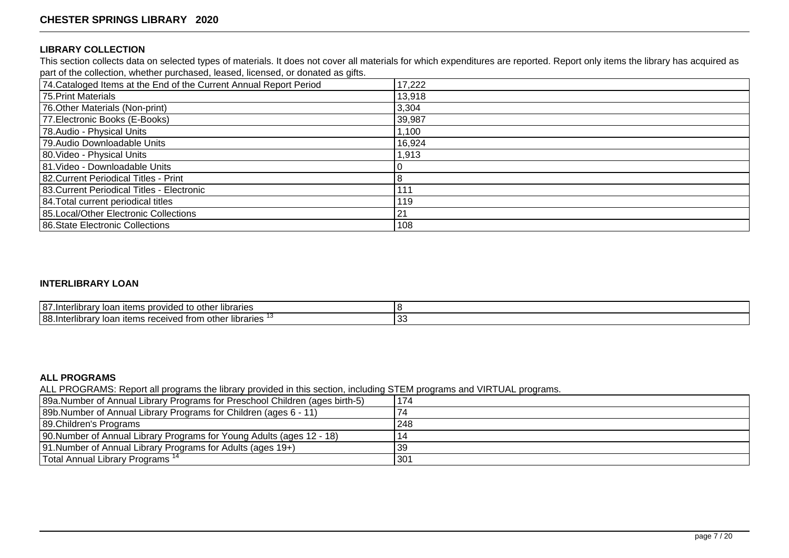#### **LIBRARY COLLECTION**

This section collects data on selected types of materials. It does not cover all materials for which expenditures are reported. Report only items the library has acquired as part of the collection, whether purchased, leased, licensed, or donated as gifts.

| 74. Cataloged Items at the End of the Current Annual Report Period | 17,222 |
|--------------------------------------------------------------------|--------|
| 75. Print Materials                                                | 13,918 |
| 76. Other Materials (Non-print)                                    | 3,304  |
| 77. Electronic Books (E-Books)                                     | 39,987 |
| 78. Audio - Physical Units                                         | 1,100  |
| 79. Audio Downloadable Units                                       | 16,924 |
| 80. Video - Physical Units                                         | 1,913  |
| 81. Video - Downloadable Units                                     |        |
| 82. Current Periodical Titles - Print                              |        |
| 83. Current Periodical Titles - Electronic                         | 111    |
| 84. Total current periodical titles                                | 119    |
| 85. Local/Other Electronic Collections                             | 21     |
| 86. State Electronic Collections                                   | 108    |

#### **INTERLIBRARY LOAN**

| 187<br>other libraries<br>provided<br>1000<br>.Interl<br><b>items</b><br>,,,,,,,,,<br>ioar<br>iiui d<br>w                   |         |
|-----------------------------------------------------------------------------------------------------------------------------|---------|
| <br>188.Inter.<br>libraries<br>othe<br>$\sim$<br>$\lrcorner$ received from $\lrcorner$<br><b>items</b><br>iliul d<br>ivai i | C.<br>ັ |

## **ALL PROGRAMS**

ALL PROGRAMS: Report all programs the library provided in this section, including STEM programs and VIRTUAL programs.

| 89a.Number of Annual Library Programs for Preschool Children (ages birth-5) | 174 |
|-----------------------------------------------------------------------------|-----|
| [89b. Number of Annual Library Programs for Children (ages 6 - 11)          | 74  |
| 89. Children's Programs                                                     | 248 |
| [90. Number of Annual Library Programs for Young Adults (ages 12 - 18)      | 14  |
| [91. Number of Annual Library Programs for Adults (ages 19+)                | 39  |
| Total Annual Library Programs <sup>14</sup>                                 | 301 |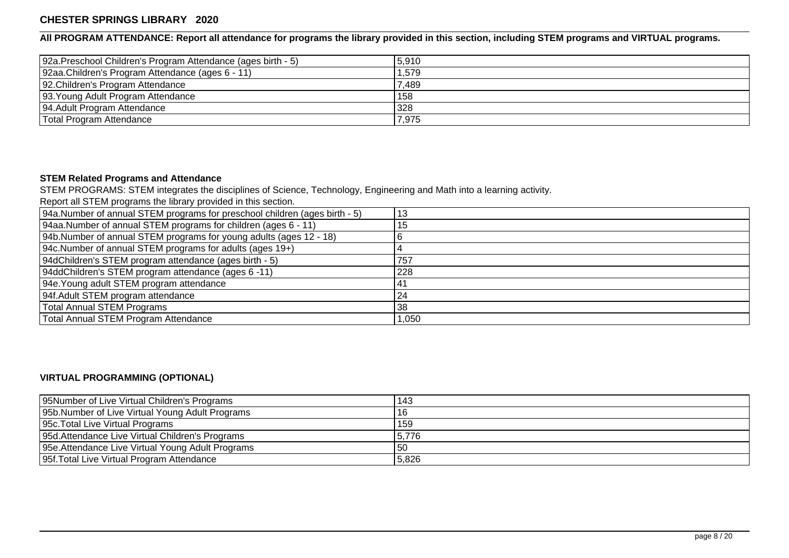**All PROGRAM ATTENDANCE: Report all attendance for programs the library provided in this section, including STEM programs and VIRTUAL programs.**

| 92a. Preschool Children's Program Attendance (ages birth - 5) | 5,910 |
|---------------------------------------------------------------|-------|
| 92aa.Children's Program Attendance (ages 6 - 11)              | 1,579 |
| 92. Children's Program Attendance                             | 7,489 |
| 93. Young Adult Program Attendance                            | 158   |
| 94. Adult Program Attendance                                  | 328   |
| Total Program Attendance                                      | 7,975 |

# **STEM Related Programs and Attendance**

STEM PROGRAMS: STEM integrates the disciplines of Science, Technology, Engineering and Math into a learning activity.

Report all STEM programs the library provided in this section.

| 94a.Number of annual STEM programs for preschool children (ages birth - 5) | 13   |
|----------------------------------------------------------------------------|------|
| 94aa.Number of annual STEM programs for children (ages 6 - 11)             | 15   |
| [94b. Number of annual STEM programs for young adults (ages 12 - 18)       |      |
| 94c. Number of annual STEM programs for adults (ages 19+)                  |      |
| 94dChildren's STEM program attendance (ages birth - 5)                     | 757  |
| 94ddChildren's STEM program attendance (ages 6 -11)                        | 228  |
| 94e. Young adult STEM program attendance                                   | 41   |
| 94f. Adult STEM program attendance                                         | 24   |
| Total Annual STEM Programs                                                 | 38   |
| Total Annual STEM Program Attendance                                       | ,050 |

# **VIRTUAL PROGRAMMING (OPTIONAL)**

| 95Number of Live Virtual Children's Programs      | 143   |
|---------------------------------------------------|-------|
| 95b. Number of Live Virtual Young Adult Programs  | 16    |
| 95c. Total Live Virtual Programs                  | 159   |
| 95d. Attendance Live Virtual Children's Programs  | 5.776 |
| 95e. Attendance Live Virtual Young Adult Programs | 50    |
| 95f. Total Live Virtual Program Attendance        | 5,826 |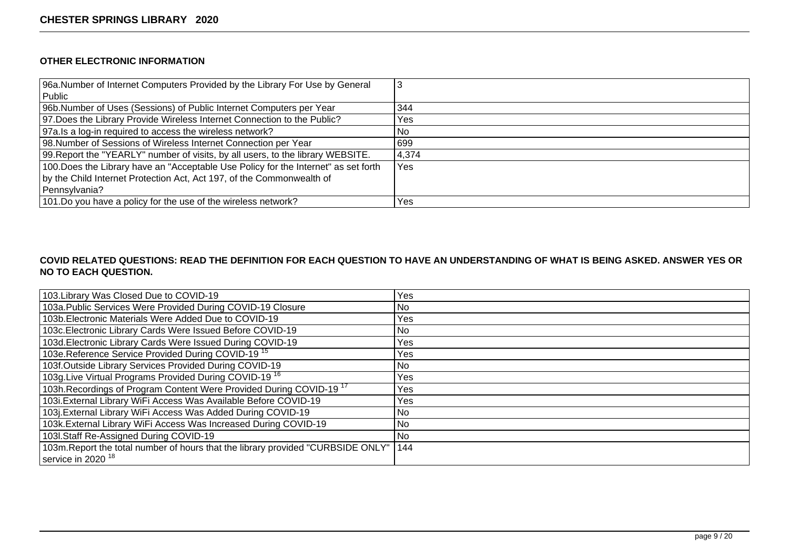## **OTHER ELECTRONIC INFORMATION**

| 96a.Number of Internet Computers Provided by the Library For Use by General         | C     |
|-------------------------------------------------------------------------------------|-------|
| Public                                                                              |       |
| 96b. Number of Uses (Sessions) of Public Internet Computers per Year                | 344   |
| 97. Does the Library Provide Wireless Internet Connection to the Public?            | Yes   |
| 97a. Is a log-in required to access the wireless network?                           | No    |
| 98. Number of Sessions of Wireless Internet Connection per Year                     | 699   |
| 99. Report the "YEARLY" number of visits, by all users, to the library WEBSITE.     | 4,374 |
| 100. Does the Library have an "Acceptable Use Policy for the Internet" as set forth | Yes   |
| by the Child Internet Protection Act, Act 197, of the Commonwealth of               |       |
| Pennsylvania?                                                                       |       |
| 101.Do you have a policy for the use of the wireless network?                       | Yes   |

## **COVID RELATED QUESTIONS: READ THE DEFINITION FOR EACH QUESTION TO HAVE AN UNDERSTANDING OF WHAT IS BEING ASKED. ANSWER YES OR NO TO EACH QUESTION.**

| 103. Library Was Closed Due to COVID-19                                          | Yes  |
|----------------------------------------------------------------------------------|------|
| 103a. Public Services Were Provided During COVID-19 Closure                      | No.  |
| 103b. Electronic Materials Were Added Due to COVID-19                            | Yes. |
| 103c. Electronic Library Cards Were Issued Before COVID-19                       | No.  |
| 103d. Electronic Library Cards Were Issued During COVID-19                       | Yes. |
| 103e.Reference Service Provided During COVID-19 <sup>15</sup>                    | Yes  |
| 103f.Outside Library Services Provided During COVID-19                           | No.  |
| 103g. Live Virtual Programs Provided During COVID-19 <sup>16</sup>               | Yes  |
| 103h. Recordings of Program Content Were Provided During COVID-19 <sup>17</sup>  | Yes  |
| 103i. External Library WiFi Access Was Available Before COVID-19                 | Yes  |
| 103j.External Library WiFi Access Was Added During COVID-19                      | No.  |
| 103k. External Library WiFi Access Was Increased During COVID-19                 | No.  |
| 103I.Staff Re-Assigned During COVID-19                                           | No.  |
| 103m. Report the total number of hours that the library provided "CURBSIDE ONLY" | 144  |
| service in 2020 <sup>18</sup>                                                    |      |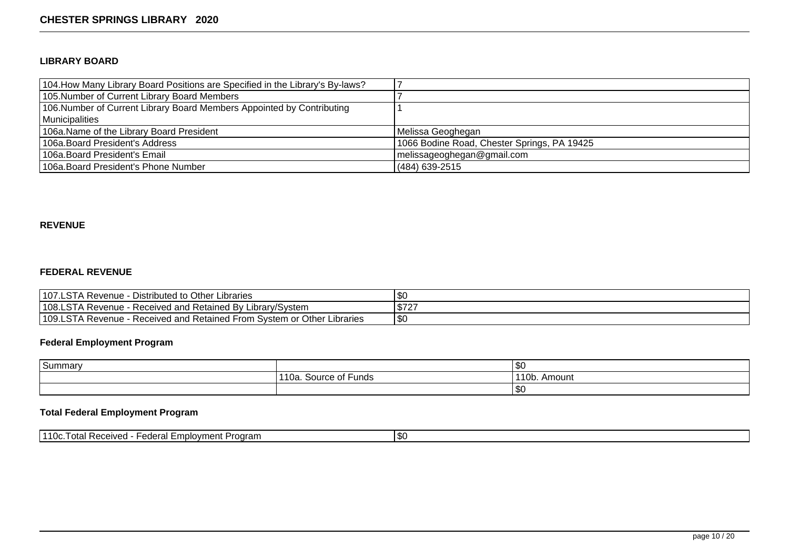### **LIBRARY BOARD**

| 104. How Many Library Board Positions are Specified in the Library's By-laws? |                                             |
|-------------------------------------------------------------------------------|---------------------------------------------|
| 105. Number of Current Library Board Members                                  |                                             |
| 106. Number of Current Library Board Members Appointed by Contributing        |                                             |
| Municipalities                                                                |                                             |
| 106a. Name of the Library Board President                                     | Melissa Geoghegan                           |
| 106a. Board President's Address                                               | 1066 Bodine Road, Chester Springs, PA 19425 |
| 106a. Board President's Email                                                 | melissageoghegan@gmail.com                  |
| 106a. Board President's Phone Number                                          | $(484)$ 639-2515                            |

### **REVENUE**

### **FEDERAL REVENUE**

| 107.LSTA Revenue<br>Distributed to Other Libraries                         | \$0             |
|----------------------------------------------------------------------------|-----------------|
| 108.LSTA Revenue<br>- Received and Retained By Library/System              | ¢フウフ<br>ا کا اف |
| 109.LSTA Revenue<br>- Received and Retained From System or Other Libraries | l \$C           |

# **Federal Employment Program**

| Summary |                                                        | וי∩ו<br>טשו           |
|---------|--------------------------------------------------------|-----------------------|
|         | . -<br>Source of<br>Funds<br>$\sim$<br>่ ี่ ี่<br>īUd. | 110h<br>Amount<br>.UU |
|         |                                                        | <b>۱</b> ه<br>ט ש     |

# **Total Federal Employment Program**

| 1110c<br>Program<br>-mplovment<br>Received<br>-adamı<br>ו ה+ה ו<br>. IUU.<br>. Ulai<br>cucial<br>. 6. | 1\$0 |
|-------------------------------------------------------------------------------------------------------|------|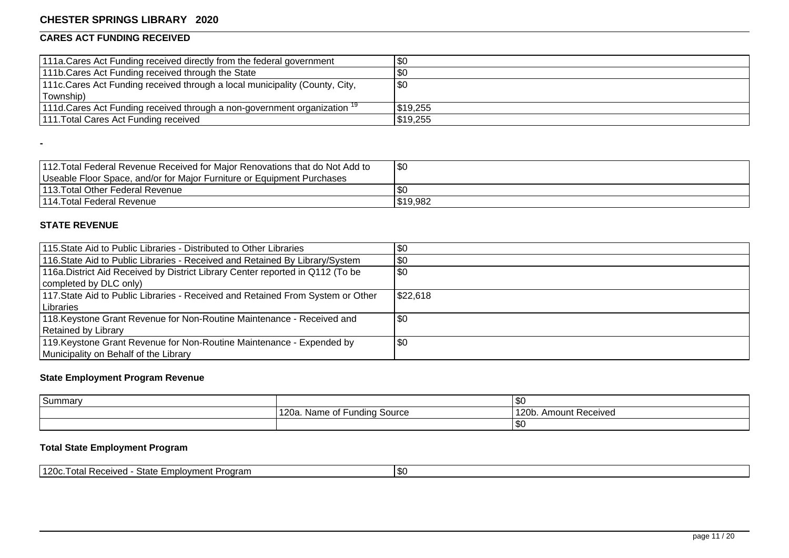# **CARES ACT FUNDING RECEIVED**

| 1111a. Cares Act Funding received directly from the federal government               | \$0         |
|--------------------------------------------------------------------------------------|-------------|
| 111b. Cares Act Funding received through the State                                   | <b>\$0</b>  |
| 1111 c. Cares Act Funding received through a local municipality (County, City,       | $\sqrt{30}$ |
| Township)                                                                            |             |
| 111d. Cares Act Funding received through a non-government organization <sup>19</sup> | \$19,255    |
| 111. Total Cares Act Funding received                                                | \$19,255    |

| 112. Total Federal Revenue Received for Major Renovations that do Not Add to | \$0      |
|------------------------------------------------------------------------------|----------|
| Useable Floor Space, and/or for Major Furniture or Equipment Purchases       |          |
| 113. Total Other Federal Revenue                                             |          |
| 1114. Total Federal Revenue                                                  | \$19,982 |

### **STATE REVENUE**

**-**

| 115. State Aid to Public Libraries - Distributed to Other Libraries             | \$0      |
|---------------------------------------------------------------------------------|----------|
| 116. State Aid to Public Libraries - Received and Retained By Library/System    | \$0      |
| 116a. District Aid Received by District Library Center reported in Q112 (To be  | \$0      |
| completed by DLC only)                                                          |          |
| 117. State Aid to Public Libraries - Received and Retained From System or Other | \$22,618 |
| l Libraries                                                                     |          |
| 118. Keystone Grant Revenue for Non-Routine Maintenance - Received and          | \$0      |
| Retained by Library                                                             |          |
| 119. Keystone Grant Revenue for Non-Routine Maintenance - Expended by           | \$0      |
| Municipality on Behalf of the Library                                           |          |

# **State Employment Program Revenue**

| Summary |                                               | l \$C                      |
|---------|-----------------------------------------------|----------------------------|
|         | . –<br>120a. Name of<br><b>Funding Source</b> | 120b.<br>. Amount Received |
|         |                                               | SO                         |

# **Total State Employment Program**

| 1120c.<br>I \$0<br>State<br>  Received <br>l otal<br>-mplovment<br>Program |  |
|----------------------------------------------------------------------------|--|
|----------------------------------------------------------------------------|--|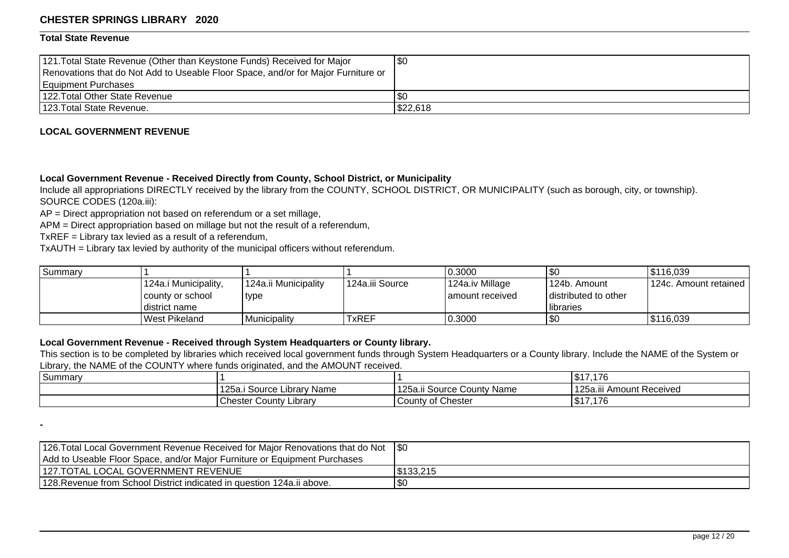#### **Total State Revenue**

**-**

| 121. Total State Revenue (Other than Keystone Funds) Received for Major<br>Renovations that do Not Add to Useable Floor Space, and/or for Major Furniture or | \$0      |
|--------------------------------------------------------------------------------------------------------------------------------------------------------------|----------|
| Equipment Purchases<br>1122. Total Other State Revenue                                                                                                       | l \$0    |
| 123. Total State Revenue.                                                                                                                                    | \$22,618 |

#### **LOCAL GOVERNMENT REVENUE**

#### **Local Government Revenue - Received Directly from County, School District, or Municipality**

Include all appropriations DIRECTLY received by the library from the COUNTY, SCHOOL DISTRICT, OR MUNICIPALITY (such as borough, city, or township). SOURCE CODES (120a.iii):

AP = Direct appropriation not based on referendum or a set millage,

APM = Direct appropriation based on millage but not the result of a referendum,

TxREF = Library tax levied as a result of a referendum,

TxAUTH = Library tax levied by authority of the municipal officers without referendum.

| Summary |                      |                      |                 | 0.3000           | 1\$C                   | 5116,039                  |
|---------|----------------------|----------------------|-----------------|------------------|------------------------|---------------------------|
|         | 124a.i Municipality, | 124a.ii Municipality | 124a.iii Source | 124a.iv Millage  | l 124b. Amount         | l 124c. Amount retained I |
|         | county or school_    | ' type               |                 | Lamount received | I distributed to other |                           |
|         | district name        |                      |                 |                  | <b>I</b> libraries     |                           |
|         | West Pikeland        | Municipality         | TxREF           | 0.3000           | 1\$C                   | \$116,039                 |

### **Local Government Revenue - Received through System Headquarters or County library.**

This section is to be completed by libraries which received local government funds through System Headquarters or a County library. Include the NAME of the System or Library, the NAME of the COUNTY where funds originated, and the AMOUNT received.

| Summary |                                     |                                         | $A -$<br>17.176                        |
|---------|-------------------------------------|-----------------------------------------|----------------------------------------|
|         | 125a.<br>Source '<br>Name<br>.ıbrar | 1252.<br>i Source County Name<br>. ZJG. | <br>125a.<br>-<br>iii Amount Received. |
|         | <b>Chester County</b><br>∟ibrar∨    | <b>County of Chester</b>                | $AA =$<br>\$17,176                     |

| 126. Total Local Government Revenue Received for Major Renovations that do Not 1\$0 |            |
|-------------------------------------------------------------------------------------|------------|
| Add to Useable Floor Space, and/or Major Furniture or Equipment Purchases           |            |
| 127.TOTAL LOCAL GOVERNMENT REVENUE                                                  | 1\$133.215 |
| 128. Revenue from School District indicated in question 124a. ii above.             | 1\$C       |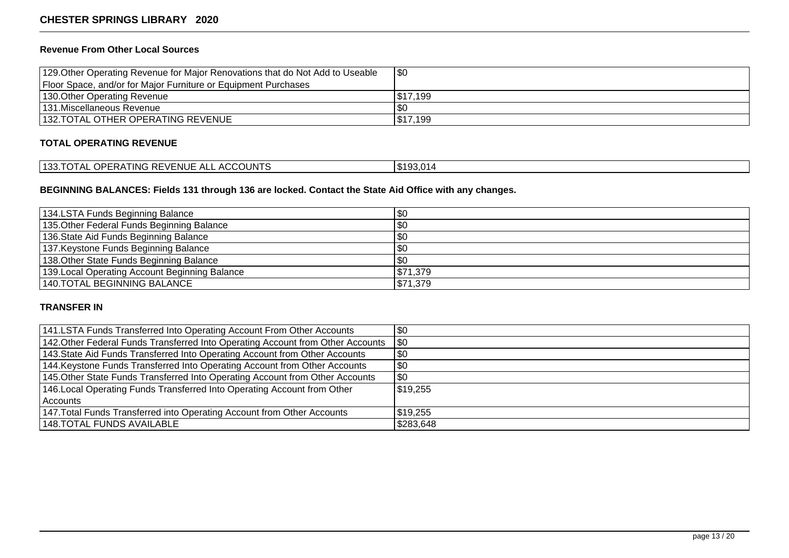## **Revenue From Other Local Sources**

| 129. Other Operating Revenue for Major Renovations that do Not Add to Useable | \$0      |
|-------------------------------------------------------------------------------|----------|
| Floor Space, and/or for Major Furniture or Equipment Purchases                |          |
| 130. Other Operating Revenue                                                  | IS17.199 |
| 131. Miscellaneous Revenue                                                    | . SC     |
| 132. TOTAL OTHER OPERATING REVENUE                                            | IS17.199 |

### **TOTAL OPERATING REVENUE**

| <b>ACCOUNTS</b><br><b>3 REVENUE</b><br>OPERATING<br>100T<br><b>TOTAL</b><br>AL<br>. ده. | . ა193.014 |
|-----------------------------------------------------------------------------------------|------------|
|-----------------------------------------------------------------------------------------|------------|

## **BEGINNING BALANCES: Fields 131 through 136 are locked. Contact the State Aid Office with any changes.**

| 134.LSTA Funds Beginning Balance               | \$0      |
|------------------------------------------------|----------|
| 135. Other Federal Funds Beginning Balance     | \$0      |
| 136. State Aid Funds Beginning Balance         | \$0      |
| 137. Keystone Funds Beginning Balance          | \$0      |
| 138. Other State Funds Beginning Balance       | \$0      |
| 139. Local Operating Account Beginning Balance | \$71,379 |
| 140.TOTAL BEGINNING BALANCE                    | \$71,379 |

### **TRANSFER IN**

| 141. LSTA Funds Transferred Into Operating Account From Other Accounts          | \$0       |
|---------------------------------------------------------------------------------|-----------|
| 142. Other Federal Funds Transferred Into Operating Account from Other Accounts | \$0       |
| 143. State Aid Funds Transferred Into Operating Account from Other Accounts     | \$0       |
| 144. Keystone Funds Transferred Into Operating Account from Other Accounts      | \$0       |
| 145. Other State Funds Transferred Into Operating Account from Other Accounts   | \$0       |
| 146. Local Operating Funds Transferred Into Operating Account from Other        | 519,255   |
| Accounts                                                                        |           |
| 147. Total Funds Transferred into Operating Account from Other Accounts         | 519,255   |
| 148.TOTAL FUNDS AVAILABLE                                                       | \$283,648 |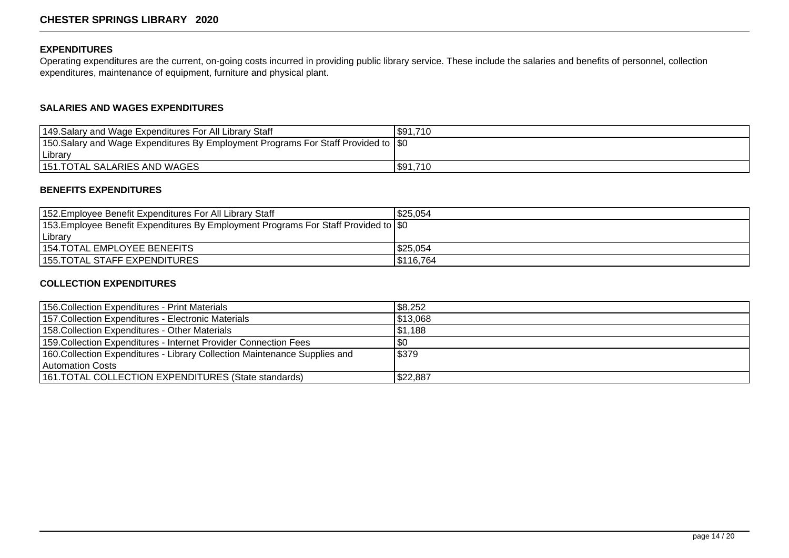## **EXPENDITURES**

Operating expenditures are the current, on-going costs incurred in providing public library service. These include the salaries and benefits of personnel, collection expenditures, maintenance of equipment, furniture and physical plant.

## **SALARIES AND WAGES EXPENDITURES**

| 149. Salary and Wage Expenditures For All Library Staff                                    | \$91,710 |
|--------------------------------------------------------------------------------------------|----------|
| 150. Salary and Wage Expenditures By Employment Programs For Staff Provided to $\vert \$0$ |          |
| Library                                                                                    |          |
| 151. TOTAL SALARIES AND WAGES                                                              | \$91,710 |

## **BENEFITS EXPENDITURES**

| 152. Employee Benefit Expenditures For All Library Staff                                    | \$25.054  |
|---------------------------------------------------------------------------------------------|-----------|
| 153. Employee Benefit Expenditures By Employment Programs For Staff Provided to $\vert \$0$ |           |
| Library                                                                                     |           |
| 154. TOTAL EMPLOYEE BENEFITS                                                                | \$25,054  |
| 155. TOTAL STAFF EXPENDITURES                                                               | IS116.764 |

#### **COLLECTION EXPENDITURES**

| 156. Collection Expenditures - Print Materials                             | \$8,252  |
|----------------------------------------------------------------------------|----------|
| 157. Collection Expenditures - Electronic Materials                        | \$13,068 |
| 158. Collection Expenditures - Other Materials                             | \$1,188  |
| 159. Collection Expenditures - Internet Provider Connection Fees           | \$0      |
| 160. Collection Expenditures - Library Collection Maintenance Supplies and | \$379    |
| Automation Costs                                                           |          |
| 161. TOTAL COLLECTION EXPENDITURES (State standards)                       | \$22,887 |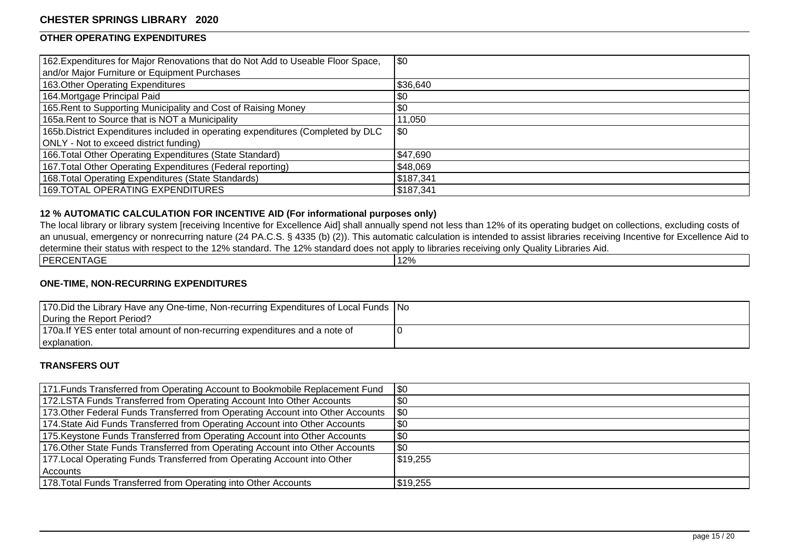## **OTHER OPERATING EXPENDITURES**

| 162. Expenditures for Major Renovations that do Not Add to Useable Floor Space,  | \$0       |
|----------------------------------------------------------------------------------|-----------|
| and/or Major Furniture or Equipment Purchases                                    |           |
| 163. Other Operating Expenditures                                                | \$36,640  |
| 164. Mortgage Principal Paid                                                     | \$0       |
| 165. Rent to Supporting Municipality and Cost of Raising Money                   | \$0       |
| 165a. Rent to Source that is NOT a Municipality                                  | 11,050    |
| 165b. District Expenditures included in operating expenditures (Completed by DLC | \$0       |
| ONLY - Not to exceed district funding)                                           |           |
| 166. Total Other Operating Expenditures (State Standard)                         | \$47,690  |
| 167. Total Other Operating Expenditures (Federal reporting)                      | \$48,069  |
| 168. Total Operating Expenditures (State Standards)                              | \$187,341 |
| 169.TOTAL OPERATING EXPENDITURES                                                 | \$187,341 |

### **12 % AUTOMATIC CALCULATION FOR INCENTIVE AID (For informational purposes only)**

The local library or library system [receiving Incentive for Excellence Aid] shall annually spend not less than 12% of its operating budget on collections, excluding costs of an unusual, emergency or nonrecurring nature (24 PA.C.S. § 4335 (b) (2)). This automatic calculation is intended to assist libraries receiving Incentive for Excellence Aid to determine their status with respect to the 12% standard. The 12% standard does not apply to libraries receiving only Quality Libraries Aid. PERCENTAGE 12%

#### **ONE-TIME, NON-RECURRING EXPENDITURES**

| 170. Did the Library Have any One-time, Non-recurring Expenditures of Local Funds   No |  |
|----------------------------------------------------------------------------------------|--|
| During the Report Period?                                                              |  |
| 170a. If YES enter total amount of non-recurring expenditures and a note of            |  |
| explanation.                                                                           |  |

#### **TRANSFERS OUT**

| 171. Funds Transferred from Operating Account to Bookmobile Replacement Fund    | $ $ \$0  |
|---------------------------------------------------------------------------------|----------|
| 172.LSTA Funds Transferred from Operating Account Into Other Accounts           | $\$0$    |
| 173. Other Federal Funds Transferred from Operating Account into Other Accounts | \$0      |
| 174. State Aid Funds Transferred from Operating Account into Other Accounts     | \$0      |
| 175. Keystone Funds Transferred from Operating Account into Other Accounts      | \$0      |
| 176. Other State Funds Transferred from Operating Account into Other Accounts   | \$0      |
| 177. Local Operating Funds Transferred from Operating Account into Other        | \$19,255 |
| Accounts                                                                        |          |
| 178. Total Funds Transferred from Operating into Other Accounts                 | \$19,255 |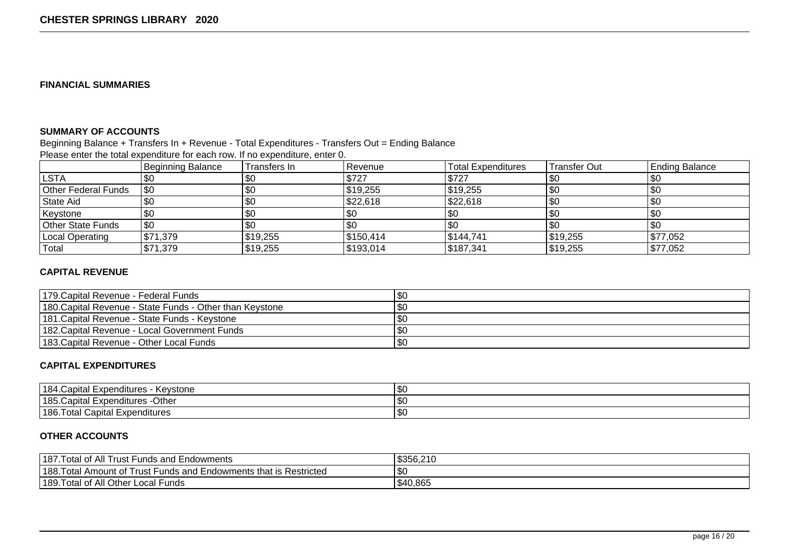### **FINANCIAL SUMMARIES**

### **SUMMARY OF ACCOUNTS**

#### Beginning Balance + Transfers In + Revenue - Total Expenditures - Transfers Out = Ending Balance

Please enter the total expenditure for each row. If no expenditure, enter 0.

|                     | <b>Beginning Balance</b> | Transfers In | l Revenue | <b>Total Expenditures</b> | <b>Transfer Out</b> | <b>Ending Balance</b> |
|---------------------|--------------------------|--------------|-----------|---------------------------|---------------------|-----------------------|
| <b>LSTA</b>         | \$0                      | \$0          | \$727     | \$727                     | \$0                 |                       |
| Other Federal Funds | \$0                      | \$0          | \$19,255  | \$19,255                  | \$0                 |                       |
| State Aid           | \$0                      | \$0          | \$22,618  | \$22,618                  | \$0                 |                       |
| Keystone            |                          | \$0          | \$0       | \$0                       | \$0                 |                       |
| Other State Funds   | \$0                      | \$0          | l \$0     |                           | \$0                 |                       |
| Local Operating     | \$71,379                 | \$19,255     | \$150,414 | \$144,741                 | \$19,255            | \$77,052              |
| Total               | \$71,379                 | \$19,255     | \$193,014 | \$187,341                 | \$19,255            | \$77,052              |

### **CAPITAL REVENUE**

| 179. Capital Revenue - Federal Funds                      | \$C |
|-----------------------------------------------------------|-----|
| 1180. Capital Revenue - State Funds - Other than Keystone | \$C |
| 1181. Capital Revenue - State Funds - Kevstone            | \$0 |
| 182. Capital Revenue - Local Government Funds             | \$C |
| 183. Capital Revenue - Other Local Funds                  | 'SC |

### **CAPITAL EXPENDITURES**

| 184<br>∣ Expenditures<br>.Capıtal<br>Kevstone<br>ne.                                   | $\sim$<br>טטו     |
|----------------------------------------------------------------------------------------|-------------------|
| 185 <sup>2</sup><br>$\overline{\phantom{0}}$<br>Othe<br>. Expenditures -′<br>Japital ' | $\sim$<br>ו נוניו |
| $1186.$ <sup>T</sup><br><sup>-</sup> otal<br>Capital<br><b>Expenditures</b>            | $\sim$<br>ט שו    |

### **OTHER ACCOUNTS**

| 187. Total of All<br>_<br>Funds and Endowments<br>⊟rust I                       | \$356,210 |
|---------------------------------------------------------------------------------|-----------|
| 188. Total<br>Funds and Endowments that is Restricted<br>. Amount of<br>∣rust I | \$0       |
| 189. Total of All Other L<br>* Local Funds                                      | \$40,865  |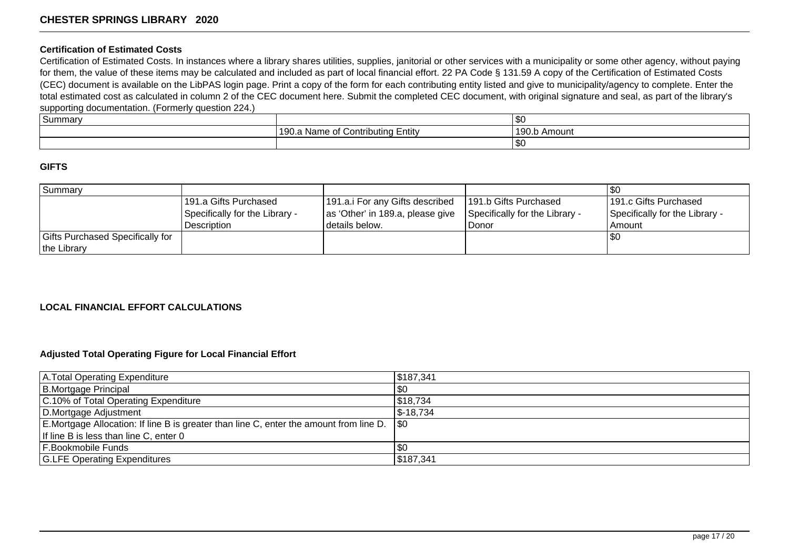#### **Certification of Estimated Costs**

Certification of Estimated Costs. In instances where a library shares utilities, supplies, janitorial or other services with a municipality or some other agency, without paying for them, the value of these items may be calculated and included as part of local financial effort. 22 PA Code § 131.59 A copy of the Certification of Estimated Costs (CEC) document is available on the LibPAS login page. Print a copy of the form for each contributing entity listed and give to municipality/agency to complete. Enter the total estimated cost as calculated in column 2 of the CEC document here. Submit the completed CEC document, with original signature and seal, as part of the library's supporting documentation. (Formerly question 224.)

| ה ו<br>l Summary |                                                             | 1\$0                                   |
|------------------|-------------------------------------------------------------|----------------------------------------|
|                  | .<br>Entity<br>Contributing '<br>. Name of<br>. ג<br>1 JU.A | 110 <sup>c</sup><br>Amount -<br>1 JU.U |
|                  |                                                             | 1\$C                                   |

#### **GIFTS**

| Summary                          |                                |                                  |                                |                                |
|----------------------------------|--------------------------------|----------------------------------|--------------------------------|--------------------------------|
|                                  | 191.a Gifts Purchased          | 191.a.i For any Gifts described  | 191.b Gifts Purchased          | 191.c Gifts Purchased          |
|                                  | Specifically for the Library - | as 'Other' in 189.a, please give | Specifically for the Library - | Specifically for the Library - |
|                                  | <b>Description</b>             | I details below.                 | Donor                          | l Amount                       |
| Gifts Purchased Specifically for |                                |                                  |                                | $\sqrt{30}$                    |
| the Library                      |                                |                                  |                                |                                |

### **LOCAL FINANCIAL EFFORT CALCULATIONS**

#### **Adjusted Total Operating Figure for Local Financial Effort**

| A. Total Operating Expenditure                                                               | 5187,341              |
|----------------------------------------------------------------------------------------------|-----------------------|
| B.Mortgage Principal                                                                         | \$0                   |
| C.10% of Total Operating Expenditure                                                         | \$18,734              |
| D.Mortgage Adjustment                                                                        | $\frac{1}{2}$ -18,734 |
| E.Mortgage Allocation: If line B is greater than line C, enter the amount from line D. \\\$0 |                       |
| If line B is less than line C, enter 0                                                       |                       |
| <b>F.Bookmobile Funds</b>                                                                    | \$0                   |
| <b>G.LFE Operating Expenditures</b>                                                          | \$187,341             |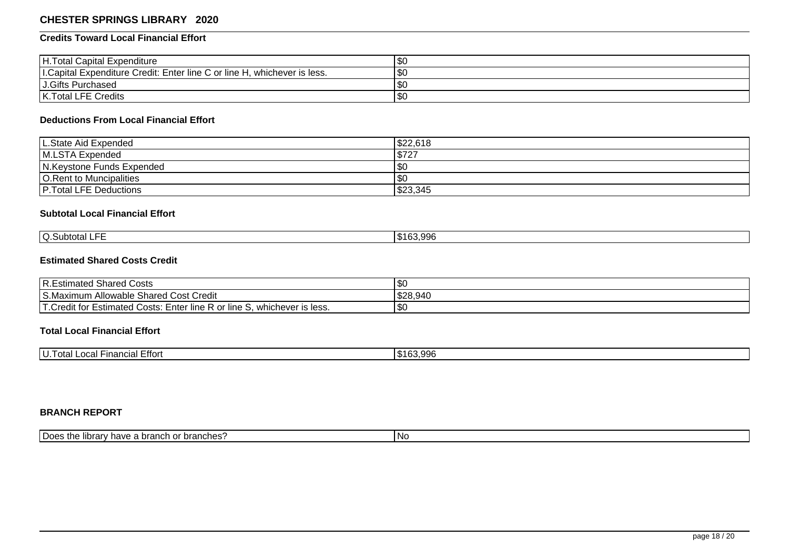### **Credits Toward Local Financial Effort**

| H. Total Capital Expenditure                                              | 'SC      |
|---------------------------------------------------------------------------|----------|
| I. Capital Expenditure Credit: Enter line C or line H, whichever is less. | \$0      |
| J.Gifts Purchased                                                         | <b>S</b> |
| K. Total LFE Credits                                                      | ' \$C    |

### **Deductions From Local Financial Effort**

| L.State Aid Expended          | \$22,618  |
|-------------------------------|-----------|
| M.LSTA Expended               | \$727     |
| N.Keystone Funds Expended     | <b>SC</b> |
| O. Rent to Muncipalities      | <b>SC</b> |
| <b>P.Total LFE Deductions</b> | \$23,345  |

# **Subtotal Local Financial Effort**

| $-$<br><b>O.Subtotal</b><br>-- | 163.996 |
|--------------------------------|---------|
|                                |         |

# **Estimated Shared Costs Credit**

| R.Estimated Shared Costs                                                                 | $\sim$<br>ا ت |
|------------------------------------------------------------------------------------------|---------------|
| S.Maximum Allowable Shared Cost C<br>∶Credit                                             | \$28,940      |
| 'T.Credit for Es<br>' Estimated Costs: Enter line R or line S. '<br>, whichever is less. | . ה<br>I JDU  |

# **Total Local Financial Effort**

| ---<br>U<br>$\sim$ $\sim$<br>੮πort<br>-inancial<br>⊺otal<br>-Judi - | : വാദ<br>ה ה<br>$-1$<br>1 UU.JJU |
|---------------------------------------------------------------------|----------------------------------|

### **BRANCH REPORT**

| I Does the<br>'v have a branch or branches'?<br>$I$ , hr $\cap$ r $\vee$<br> | l No |
|------------------------------------------------------------------------------|------|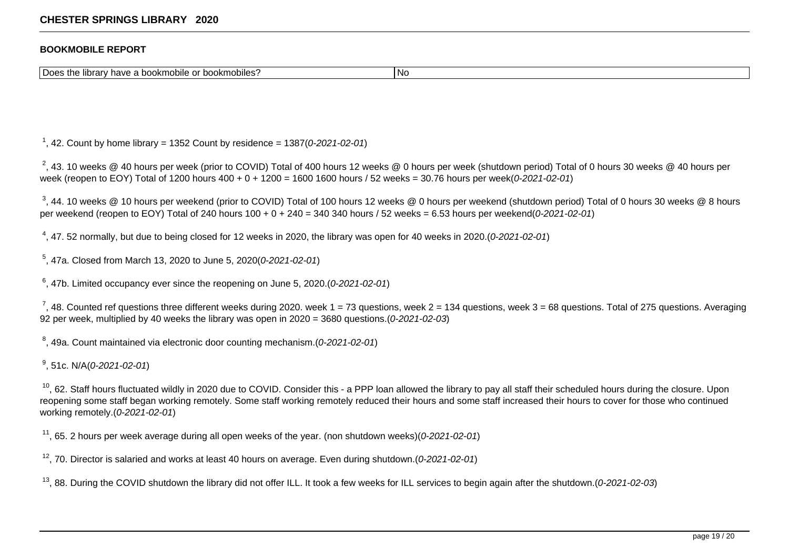#### **BOOKMOBILE REPORT**

Does the library have a bookmobile or bookmobiles?

<sup>1</sup>, 42. Count by home library = 1352 Count by residence = 1387(0-2021-02-01)

 $^2$ , 43. 10 weeks @ 40 hours per week (prior to COVID) Total of 400 hours 12 weeks @ 0 hours per week (shutdown period) Total of 0 hours 30 weeks @ 40 hours per week (reopen to EOY) Total of 1200 hours 400 + 0 + 1200 = 1600 1600 hours / 52 weeks = 30.76 hours per week(0-2021-02-01)

<sup>3</sup>, 44. 10 weeks @ 10 hours per weekend (prior to COVID) Total of 100 hours 12 weeks @ 0 hours per weekend (shutdown period) Total of 0 hours 30 weeks @ 8 hours per weekend (reopen to EOY) Total of 240 hours 100 + 0 + 240 = 340 340 hours / 52 weeks = 6.53 hours per weekend(0-2021-02-01)

 $^4$ , 47. 52 normally, but due to being closed for 12 weeks in 2020, the library was open for 40 weeks in 2020.(0-2021-02-01)

5 , 47a. Closed from March 13, 2020 to June 5, 2020(0-2021-02-01)

 $6$ , 47b. Limited occupancy ever since the reopening on June 5, 2020.(0-2021-02-01)

<sup>7</sup>, 48. Counted ref questions three different weeks during 2020. week 1 = 73 questions, week 2 = 134 questions, week 3 = 68 questions. Total of 275 questions. Averaging 92 per week, multiplied by 40 weeks the library was open in 2020 = 3680 questions.  $(0.2021 - 02.03)$ 

 $^8$ , 49a. Count maintained via electronic door counting mechanism.(0-2021-02-01)

<sup>9</sup>, 51c. N/A(*0-2021-02-01*)

<sup>10</sup>, 62. Staff hours fluctuated wildly in 2020 due to COVID. Consider this - a PPP loan allowed the library to pay all staff their scheduled hours during the closure. Upon reopening some staff began working remotely. Some staff working remotely reduced their hours and some staff increased their hours to cover for those who continued working remotely.(0-2021-02-01)

<sup>11</sup>, 65. 2 hours per week average during all open weeks of the year. (non shutdown weeks)(0-2021-02-01)

 $12$ , 70. Director is salaried and works at least 40 hours on average. Even during shutdown.(0-2021-02-01)

<sup>13</sup>, 88. During the COVID shutdown the library did not offer ILL. It took a few weeks for ILL services to begin again after the shutdown.(0-2021-02-03)